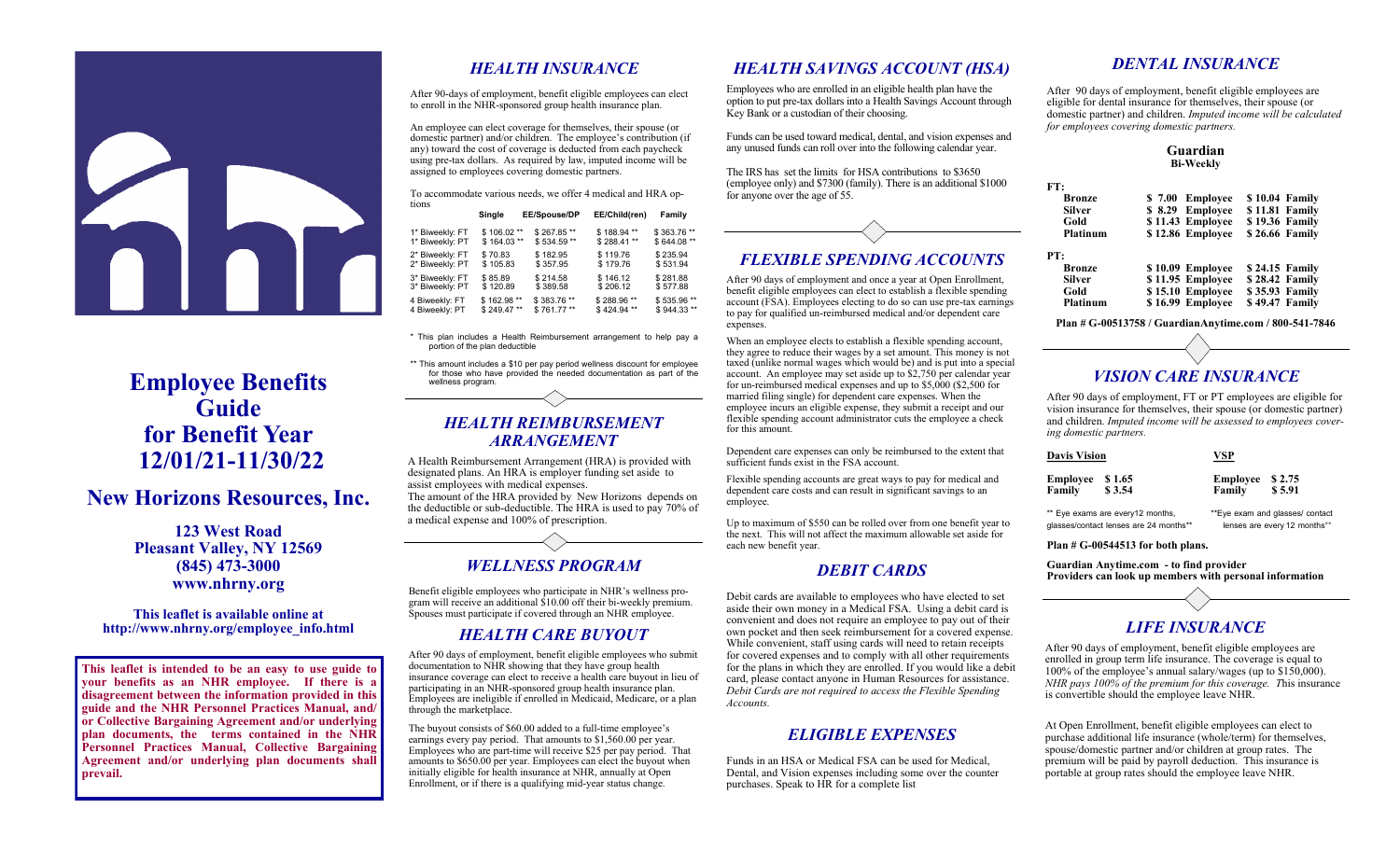# **Employee Benefits Guide for Benefit Year 12/01/21-11/30/22**

# **New Horizons Resources, Inc.**

**123 West Road Pleasant Valley, NY 12569 (845) 473-3000 www.nhrny.org**

#### **This leaflet is available online at http://www.nhrny.org/employee\_info.html**

**This leaflet is intended to be an easy to use guide to your benefits as an NHR employee. If there is a disagreement between the information provided in this guide and the NHR Personnel Practices Manual, and/ or Collective Bargaining Agreement and/or underlying plan documents, the terms contained in the NHR Personnel Practices Manual, Collective Bargaining Agreement and/or underlying plan documents shall prevail.**

### *HEALTH INSURANCE*

After 90-days of employment, benefit eligible employees can elect to enroll in the NHR-sponsored group health insurance plan.

An employee can elect coverage for themselves, their spouse (or domestic partner) and/or children. The employee's contribution (if any) toward the cost of coverage is deducted from each paycheck using pre-tax dollars. As required by law, imputed income will be assigned to employees covering domestic partners.

To accommodate various needs, we offer 4 medical and HRA options  **Single EE/Spouse/DP EE/Child(ren) Family**

|                 | Single      | <b>ELISPOUSE/UP</b> | EE/Child(ren) | Family      |
|-----------------|-------------|---------------------|---------------|-------------|
| 1* Biweekly: FT | \$106.02**  | \$267.85**          | \$188.94**    | \$363.76 ** |
| 1* Biweekly: PT | $$164.03**$ | \$534.59**          | \$288.41 **   | \$644.08 ** |
| 2* Biweekly: FT | \$70.83     | \$182.95            | \$119.76      | \$235.94    |
| 2* Biweekly: PT | \$105.83    | \$357.95            | \$179.76      | \$531.94    |
| 3* Biweekly: FT | \$85.89     | \$214.58            | \$146.12      | \$281.88    |
| 3* Biweekly: PT | \$120.89    | \$389.58            | \$206.12      | \$577.88    |
| 4 Biweekly: FT  | \$162.98 ** | \$383.76 **         | \$288.96 **   | \$535.96 ** |
| 4 Biweekly: PT  | \$249.47**  | \$761.77**          | \$424.94**    | \$944.33**  |

\* This plan includes a Health Reimbursement arrangement to help pay a portion of the plan deductible

\*\* This amount includes a \$10 per pay period wellness discount for employee for those who have provided the needed documentation as part of the wellness program.

#### *HEALTH REIMBURSEMENT ARRANGEMENT*

A Health Reimbursement Arrangement (HRA) is provided with designated plans. An HRA is employer funding set aside to assist employees with medical expenses. The amount of the HRA provided by New Horizons depends on the deductible or sub-deductible. The HRA is used to pay 70% of a medical expense and 100% of prescription.

### *WELLNESS PROGRAM*

Benefit eligible employees who participate in NHR's wellness program will receive an additional \$10.00 off their bi-weekly premium. Spouses must participate if covered through an NHR employee.

### *HEALTH CARE BUYOUT*

After 90 days of employment, benefit eligible employees who submit documentation to NHR showing that they have group health insurance coverage can elect to receive a health care buyout in lieu of participating in an NHR-sponsored group health insurance plan. Employees are ineligible if enrolled in Medicaid, Medicare, or a plan through the marketplace.

The buyout consists of \$60.00 added to a full-time employee's earnings every pay period. That amounts to \$1,560.00 per year. Employees who are part-time will receive \$25 per pay period. That amounts to \$650.00 per year. Employees can elect the buyout when initially eligible for health insurance at NHR, annually at Open Enrollment, or if there is a qualifying mid-year status change.

### *HEALTH SAVINGS ACCOUNT (HSA)*

Employees who are enrolled in an eligible health plan have the option to put pre-tax dollars into a Health Savings Account through Key Bank or a custodian of their choosing.

Funds can be used toward medical, dental, and vision expenses and any unused funds can roll over into the following calendar year.

The IRS has set the limits for HSA contributions to \$3650 (employee only) and \$7300 (family). There is an additional \$1000 for anyone over the age of 55.



### *FLEXIBLE SPENDING ACCOUNTS*

After 90 days of employment and once a year at Open Enrollment, benefit eligible employees can elect to establish a flexible spending account (FSA). Employees electing to do so can use pre-tax earnings to pay for qualified un-reimbursed medical and/or dependent care expenses.

When an employee elects to establish a flexible spending account, they agree to reduce their wages by a set amount. This money is not taxed (unlike normal wages which would be) and is put into a special account. An employee may set aside up to \$2,750 per calendar year for un-reimbursed medical expenses and up to \$5,000 (\$2,500 for married filing single) for dependent care expenses. When the employee incurs an eligible expense, they submit a receipt and our flexible spending account administrator cuts the employee a check for this amount.

Dependent care expenses can only be reimbursed to the extent that sufficient funds exist in the FSA account.

Flexible spending accounts are great ways to pay for medical and dependent care costs and can result in significant savings to an employee.

Up to maximum of \$550 can be rolled over from one benefit year to the next. This will not affect the maximum allowable set aside for each new benefit year.

### *DEBIT CARDS*

Debit cards are available to employees who have elected to set aside their own money in a Medical FSA. Using a debit card is convenient and does not require an employee to pay out of their own pocket and then seek reimbursement for a covered expense. While convenient, staff using cards will need to retain receipts for covered expenses and to comply with all other requirements for the plans in which they are enrolled. If you would like a debit card, please contact anyone in Human Resources for assistance. *Debit Cards are not required to access the Flexible Spending Accounts.*

### *ELIGIBLE EXPENSES*

Funds in an HSA or Medical FSA can be used for Medical, Dental, and Vision expenses including some over the counter purchases. Speak to HR for a complete list

### *DENTAL INSURANCE*

After 90 days of employment, benefit eligible employees are eligible for dental insurance for themselves, their spouse (or domestic partner) and children. *Imputed income will be calculated for employees covering domestic partners.* 

#### **Guardian Bi-Weekly**

| FT:           |                  |                |                |
|---------------|------------------|----------------|----------------|
| <b>Bronze</b> | \$7.00 Employee  | \$10.04 Family |                |
| <b>Silver</b> | \$8.29 Employee  | \$11.81 Family |                |
| Gold          | \$11.43 Employee | \$19.36 Family |                |
| Platinum      | \$12.86 Employee | \$26.66 Family |                |
| PT:           |                  |                |                |
| <b>Bronze</b> | \$10.09 Employee | \$24.15 Family |                |
| <b>Silver</b> | \$11.95 Employee | \$28.42 Family |                |
| Gold          | \$15.10 Employee | \$35.93 Family |                |
| Platinum      | \$16.99 Employee |                | \$49.47 Family |

**Plan # G-00513758 / GuardianAnytime.com / 800-541-7846**

## *VISION CARE INSURANCE*

After 90 days of employment, FT or PT employees are eligible for vision insurance for themselves, their spouse (or domestic partner) and children. *Imputed income will be assessed to employees covering domestic partners.* 

| <b>Davis Vision</b>                    |        | VSP                              |        |  |
|----------------------------------------|--------|----------------------------------|--------|--|
| Employee                               | \$1.65 | Employee \$2.75                  | \$5.91 |  |
| Family                                 | \$3.54 | Family                           |        |  |
| ** Eye exams are every12 months,       |        | ** Eye exam and glasses/ contact |        |  |
| glasses/contact lenses are 24 months** |        | lenses are every 12 months**     |        |  |

 **Plan # G-00544513 for both plans.** 

**FT:** 

**PT:** 

**Guardian Anytime.com - to find provider Providers can look up members with personal information**



After 90 days of employment, benefit eligible employees are enrolled in group term life insurance. The coverage is equal to 100% of the employee's annual salary/wages (up to \$150,000). *NHR pays 100% of the premium for this coverage. T*his insurance is convertible should the employee leave NHR.

At Open Enrollment, benefit eligible employees can elect to purchase additional life insurance (whole/term) for themselves, spouse/domestic partner and/or children at group rates. The premium will be paid by payroll deduction. This insurance is portable at group rates should the employee leave NHR.